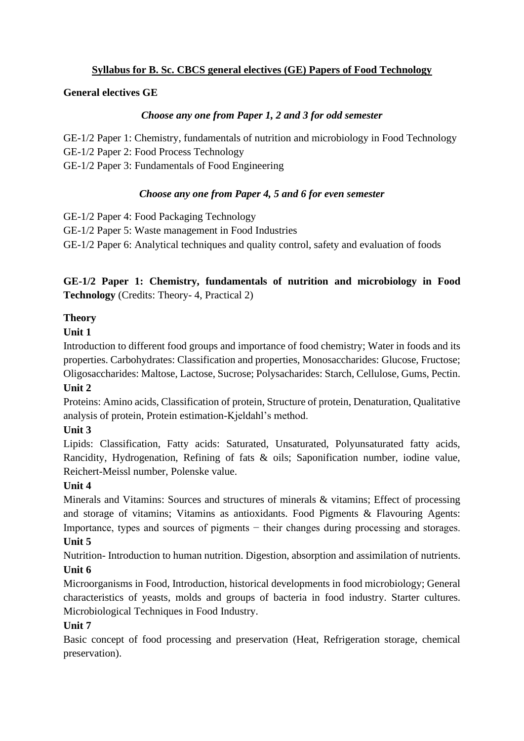### **Syllabus for B. Sc. CBCS general electives (GE) Papers of Food Technology**

#### **General electives GE**

#### *Choose any one from Paper 1, 2 and 3 for odd semester*

GE-1/2 Paper 1: Chemistry, fundamentals of nutrition and microbiology in Food Technology GE-1/2 Paper 2: Food Process Technology GE-1/2 Paper 3: Fundamentals of Food Engineering

### *Choose any one from Paper 4, 5 and 6 for even semester*

GE-1/2 Paper 4: Food Packaging Technology

GE-1/2 Paper 5: Waste management in Food Industries

GE-1/2 Paper 6: Analytical techniques and quality control, safety and evaluation of foods

# **GE-1/2 Paper 1: Chemistry, fundamentals of nutrition and microbiology in Food Technology** (Credits: Theory- 4, Practical 2)

### **Theory**

### **Unit 1**

Introduction to different food groups and importance of food chemistry; Water in foods and its properties. Carbohydrates: Classification and properties, Monosaccharides: Glucose, Fructose; Oligosaccharides: Maltose, Lactose, Sucrose; Polysacharides: Starch, Cellulose, Gums, Pectin. **Unit 2**

Proteins: Amino acids, Classification of protein, Structure of protein, Denaturation, Qualitative analysis of protein, Protein estimation-Kjeldahl's method.

# **Unit 3**

Lipids: Classification, Fatty acids: Saturated, Unsaturated, Polyunsaturated fatty acids, Rancidity, Hydrogenation, Refining of fats & oils; Saponification number, iodine value, Reichert-Meissl number, Polenske value.

# **Unit 4**

Minerals and Vitamins: Sources and structures of minerals & vitamins; Effect of processing and storage of vitamins; Vitamins as antioxidants. Food Pigments & Flavouring Agents: Importance, types and sources of pigments − their changes during processing and storages. **Unit 5**

Nutrition- Introduction to human nutrition. Digestion, absorption and assimilation of nutrients. **Unit 6**

Microorganisms in Food, Introduction, historical developments in food microbiology; General characteristics of yeasts, molds and groups of bacteria in food industry. Starter cultures. Microbiological Techniques in Food Industry.

# **Unit 7**

Basic concept of food processing and preservation (Heat, Refrigeration storage, chemical preservation).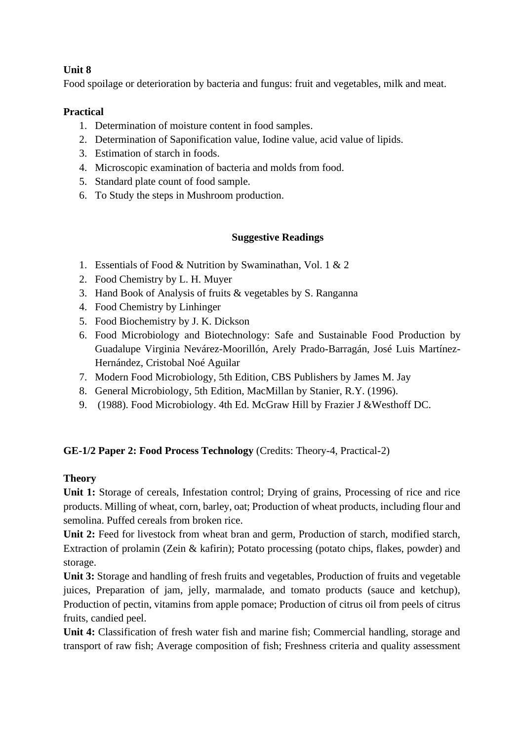# **Unit 8**

Food spoilage or deterioration by bacteria and fungus: fruit and vegetables, milk and meat.

#### **Practical**

- 1. Determination of moisture content in food samples.
- 2. Determination of Saponification value, Iodine value, acid value of lipids.
- 3. Estimation of starch in foods.
- 4. Microscopic examination of bacteria and molds from food.
- 5. Standard plate count of food sample.
- 6. To Study the steps in Mushroom production.

#### **Suggestive Readings**

- 1. Essentials of Food & Nutrition by Swaminathan, Vol. 1 & 2
- 2. Food Chemistry by L. H. Muyer
- 3. Hand Book of Analysis of fruits & vegetables by S. Ranganna
- 4. Food Chemistry by Linhinger
- 5. Food Biochemistry by J. K. Dickson
- 6. Food Microbiology and Biotechnology: Safe and Sustainable Food Production by Guadalupe Virginia Nevárez-Moorillón, Arely Prado-Barragán, José Luis Martínez-Hernández, Cristobal Noé Aguilar
- 7. Modern Food Microbiology, 5th Edition, CBS Publishers by James M. Jay
- 8. General Microbiology, 5th Edition, MacMillan by Stanier, R.Y. (1996).
- 9. (1988). Food Microbiology. 4th Ed. McGraw Hill by Frazier J &Westhoff DC.

#### **GE-1/2 Paper 2: Food Process Technology** (Credits: Theory-4, Practical-2)

#### **Theory**

**Unit 1:** Storage of cereals, Infestation control; Drying of grains, Processing of rice and rice products. Milling of wheat, corn, barley, oat; Production of wheat products, including flour and semolina. Puffed cereals from broken rice.

**Unit 2:** Feed for livestock from wheat bran and germ, Production of starch, modified starch, Extraction of prolamin (Zein & kafirin); Potato processing (potato chips, flakes, powder) and storage.

**Unit 3:** Storage and handling of fresh fruits and vegetables, Production of fruits and vegetable juices, Preparation of jam, jelly, marmalade, and tomato products (sauce and ketchup), Production of pectin, vitamins from apple pomace; Production of citrus oil from peels of citrus fruits, candied peel.

**Unit 4:** Classification of fresh water fish and marine fish; Commercial handling, storage and transport of raw fish; Average composition of fish; Freshness criteria and quality assessment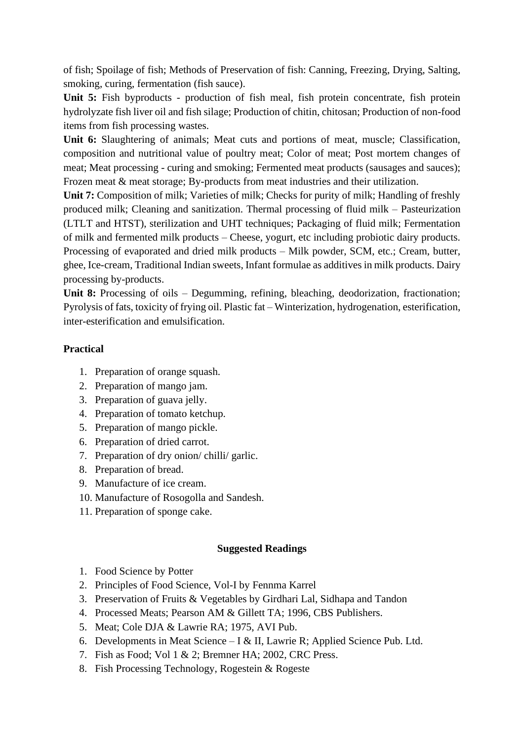of fish; Spoilage of fish; Methods of Preservation of fish: Canning, Freezing, Drying, Salting, smoking, curing, fermentation (fish sauce).

**Unit 5:** Fish byproducts - production of fish meal, fish protein concentrate, fish protein hydrolyzate fish liver oil and fish silage; Production of chitin, chitosan; Production of non-food items from fish processing wastes.

**Unit 6:** Slaughtering of animals; Meat cuts and portions of meat, muscle; Classification, composition and nutritional value of poultry meat; Color of meat; Post mortem changes of meat; Meat processing - curing and smoking; Fermented meat products (sausages and sauces); Frozen meat & meat storage; By-products from meat industries and their utilization.

**Unit 7:** Composition of milk; Varieties of milk; Checks for purity of milk; Handling of freshly produced milk; Cleaning and sanitization. Thermal processing of fluid milk – Pasteurization (LTLT and HTST), sterilization and UHT techniques; Packaging of fluid milk; Fermentation of milk and fermented milk products – Cheese, yogurt, etc including probiotic dairy products. Processing of evaporated and dried milk products – Milk powder, SCM, etc.; Cream, butter, ghee, Ice-cream, Traditional Indian sweets, Infant formulae as additives in milk products. Dairy processing by-products.

**Unit 8:** Processing of oils – Degumming, refining, bleaching, deodorization, fractionation; Pyrolysis of fats, toxicity of frying oil. Plastic fat – Winterization, hydrogenation, esterification, inter-esterification and emulsification.

### **Practical**

- 1. Preparation of orange squash.
- 2. Preparation of mango jam.
- 3. Preparation of guava jelly.
- 4. Preparation of tomato ketchup.
- 5. Preparation of mango pickle.
- 6. Preparation of dried carrot.
- 7. Preparation of dry onion/ chilli/ garlic.
- 8. Preparation of bread.
- 9. Manufacture of ice cream.
- 10. Manufacture of Rosogolla and Sandesh.
- 11. Preparation of sponge cake.

#### **Suggested Readings**

- 1. Food Science by Potter
- 2. Principles of Food Science, Vol-I by Fennma Karrel
- 3. Preservation of Fruits & Vegetables by Girdhari Lal, Sidhapa and Tandon
- 4. Processed Meats; Pearson AM & Gillett TA; 1996, CBS Publishers.
- 5. Meat; Cole DJA & Lawrie RA; 1975, AVI Pub.
- 6. Developments in Meat Science I & II, Lawrie R; Applied Science Pub. Ltd.
- 7. Fish as Food; Vol 1 & 2; Bremner HA; 2002, CRC Press.
- 8. Fish Processing Technology, Rogestein & Rogeste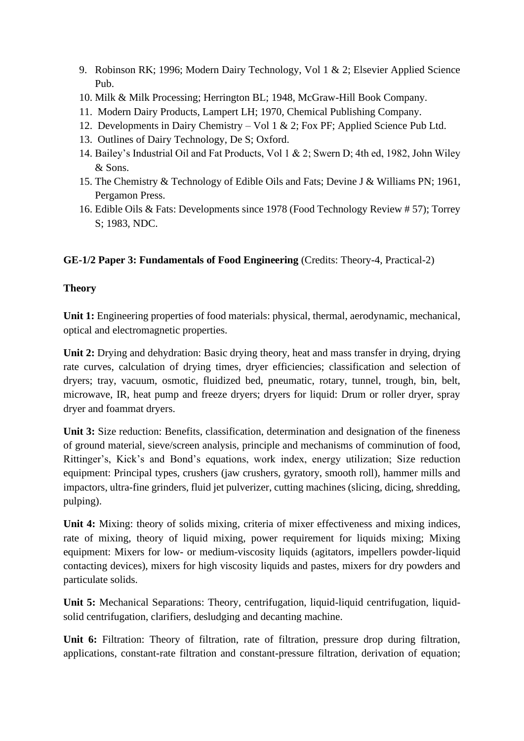- 9. Robinson RK; 1996; Modern Dairy Technology, Vol 1 & 2; Elsevier Applied Science Pub.
- 10. Milk & Milk Processing; Herrington BL; 1948, McGraw-Hill Book Company.
- 11. Modern Dairy Products, Lampert LH; 1970, Chemical Publishing Company.
- 12. Developments in Dairy Chemistry Vol 1 & 2; Fox PF; Applied Science Pub Ltd.
- 13. Outlines of Dairy Technology, De S; Oxford.
- 14. Bailey's Industrial Oil and Fat Products, Vol 1 & 2; Swern D; 4th ed, 1982, John Wiley & Sons.
- 15. The Chemistry & Technology of Edible Oils and Fats; Devine J & Williams PN; 1961, Pergamon Press.
- 16. Edible Oils & Fats: Developments since 1978 (Food Technology Review # 57); Torrey S; 1983, NDC.

# **GE-1/2 Paper 3: Fundamentals of Food Engineering** (Credits: Theory-4, Practical-2)

### **Theory**

**Unit 1:** Engineering properties of food materials: physical, thermal, aerodynamic, mechanical, optical and electromagnetic properties.

**Unit 2:** Drying and dehydration: Basic drying theory, heat and mass transfer in drying, drying rate curves, calculation of drying times, dryer efficiencies; classification and selection of dryers; tray, vacuum, osmotic, fluidized bed, pneumatic, rotary, tunnel, trough, bin, belt, microwave, IR, heat pump and freeze dryers; dryers for liquid: Drum or roller dryer, spray dryer and foammat dryers.

**Unit 3:** Size reduction: Benefits, classification, determination and designation of the fineness of ground material, sieve/screen analysis, principle and mechanisms of comminution of food, Rittinger's, Kick's and Bond's equations, work index, energy utilization; Size reduction equipment: Principal types, crushers (jaw crushers, gyratory, smooth roll), hammer mills and impactors, ultra-fine grinders, fluid jet pulverizer, cutting machines (slicing, dicing, shredding, pulping).

**Unit 4:** Mixing: theory of solids mixing, criteria of mixer effectiveness and mixing indices, rate of mixing, theory of liquid mixing, power requirement for liquids mixing; Mixing equipment: Mixers for low- or medium-viscosity liquids (agitators, impellers powder-liquid contacting devices), mixers for high viscosity liquids and pastes, mixers for dry powders and particulate solids.

**Unit 5:** Mechanical Separations: Theory, centrifugation, liquid-liquid centrifugation, liquidsolid centrifugation, clarifiers, desludging and decanting machine.

**Unit 6:** Filtration: Theory of filtration, rate of filtration, pressure drop during filtration, applications, constant-rate filtration and constant-pressure filtration, derivation of equation;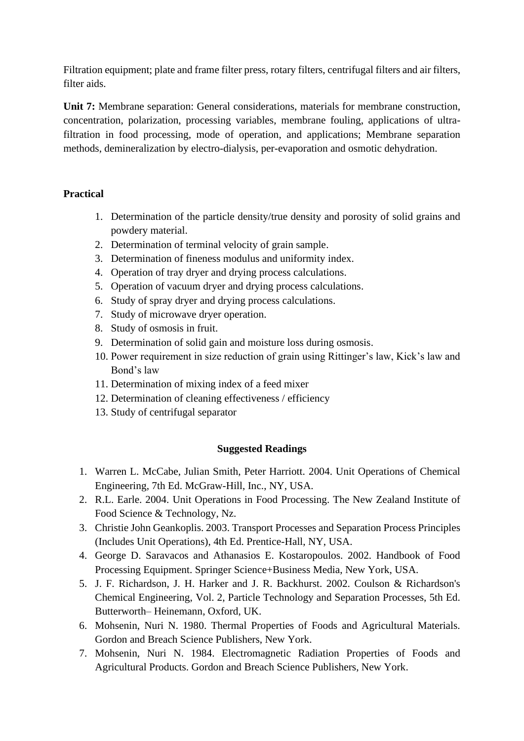Filtration equipment; plate and frame filter press, rotary filters, centrifugal filters and air filters, filter aids.

**Unit 7:** Membrane separation: General considerations, materials for membrane construction, concentration, polarization, processing variables, membrane fouling, applications of ultrafiltration in food processing, mode of operation, and applications; Membrane separation methods, demineralization by electro-dialysis, per-evaporation and osmotic dehydration.

### **Practical**

- 1. Determination of the particle density/true density and porosity of solid grains and powdery material.
- 2. Determination of terminal velocity of grain sample.
- 3. Determination of fineness modulus and uniformity index.
- 4. Operation of tray dryer and drying process calculations.
- 5. Operation of vacuum dryer and drying process calculations.
- 6. Study of spray dryer and drying process calculations.
- 7. Study of microwave dryer operation.
- 8. Study of osmosis in fruit.
- 9. Determination of solid gain and moisture loss during osmosis.
- 10. Power requirement in size reduction of grain using Rittinger's law, Kick's law and Bond's law
- 11. Determination of mixing index of a feed mixer
- 12. Determination of cleaning effectiveness / efficiency
- 13. Study of centrifugal separator

#### **Suggested Readings**

- 1. Warren L. McCabe, Julian Smith, Peter Harriott. 2004. Unit Operations of Chemical Engineering, 7th Ed. McGraw-Hill, Inc., NY, USA.
- 2. R.L. Earle. 2004. Unit Operations in Food Processing. The New Zealand Institute of Food Science & Technology, Nz.
- 3. Christie John Geankoplis. 2003. Transport Processes and Separation Process Principles (Includes Unit Operations), 4th Ed. Prentice-Hall, NY, USA.
- 4. George D. Saravacos and Athanasios E. Kostaropoulos. 2002. Handbook of Food Processing Equipment. Springer Science+Business Media, New York, USA.
- 5. J. F. Richardson, J. H. Harker and J. R. Backhurst. 2002. Coulson & Richardson's Chemical Engineering, Vol. 2, Particle Technology and Separation Processes, 5th Ed. Butterworth– Heinemann, Oxford, UK.
- 6. Mohsenin, Nuri N. 1980. Thermal Properties of Foods and Agricultural Materials. Gordon and Breach Science Publishers, New York.
- 7. Mohsenin, Nuri N. 1984. Electromagnetic Radiation Properties of Foods and Agricultural Products. Gordon and Breach Science Publishers, New York.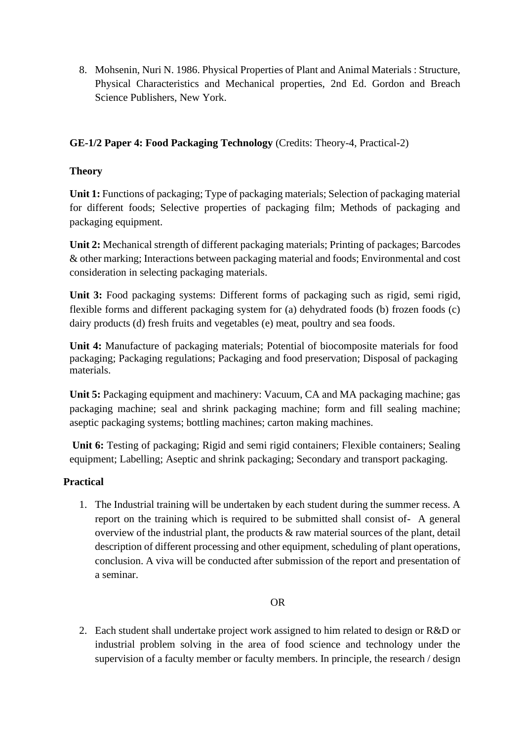8. Mohsenin, Nuri N. 1986. Physical Properties of Plant and Animal Materials : Structure, Physical Characteristics and Mechanical properties, 2nd Ed. Gordon and Breach Science Publishers, New York.

# **GE-1/2 Paper 4: Food Packaging Technology** (Credits: Theory-4, Practical-2)

### **Theory**

**Unit 1:** Functions of packaging; Type of packaging materials; Selection of packaging material for different foods; Selective properties of packaging film; Methods of packaging and packaging equipment.

**Unit 2:** Mechanical strength of different packaging materials; Printing of packages; Barcodes & other marking; Interactions between packaging material and foods; Environmental and cost consideration in selecting packaging materials.

**Unit 3:** Food packaging systems: Different forms of packaging such as rigid, semi rigid, flexible forms and different packaging system for (a) dehydrated foods (b) frozen foods (c) dairy products (d) fresh fruits and vegetables (e) meat, poultry and sea foods.

**Unit 4:** Manufacture of packaging materials; Potential of biocomposite materials for food packaging; Packaging regulations; Packaging and food preservation; Disposal of packaging materials.

**Unit 5:** Packaging equipment and machinery: Vacuum, CA and MA packaging machine; gas packaging machine; seal and shrink packaging machine; form and fill sealing machine; aseptic packaging systems; bottling machines; carton making machines.

Unit 6: Testing of packaging; Rigid and semi rigid containers; Flexible containers; Sealing equipment; Labelling; Aseptic and shrink packaging; Secondary and transport packaging.

# **Practical**

1. The Industrial training will be undertaken by each student during the summer recess. A report on the training which is required to be submitted shall consist of- A general overview of the industrial plant, the products  $\&$  raw material sources of the plant, detail description of different processing and other equipment, scheduling of plant operations, conclusion. A viva will be conducted after submission of the report and presentation of a seminar.

#### OR

2. Each student shall undertake project work assigned to him related to design or R&D or industrial problem solving in the area of food science and technology under the supervision of a faculty member or faculty members. In principle, the research / design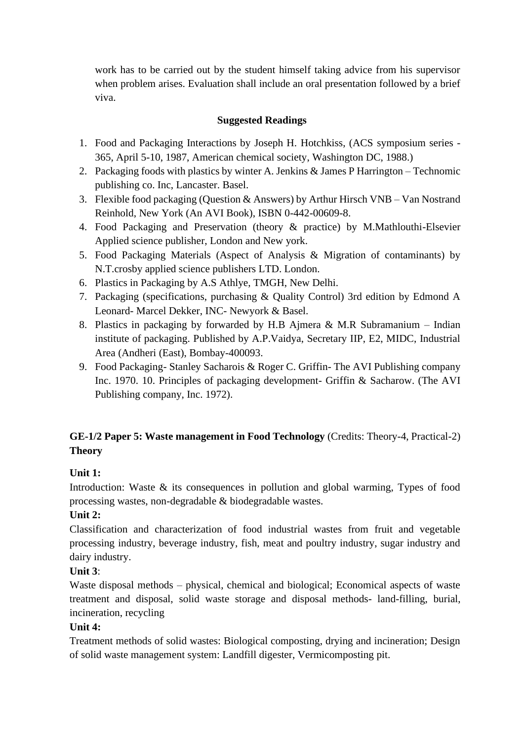work has to be carried out by the student himself taking advice from his supervisor when problem arises. Evaluation shall include an oral presentation followed by a brief viva.

# **Suggested Readings**

- 1. Food and Packaging Interactions by Joseph H. Hotchkiss, (ACS symposium series 365, April 5-10, 1987, American chemical society, Washington DC, 1988.)
- 2. Packaging foods with plastics by winter A. Jenkins & James P Harrington Technomic publishing co. Inc, Lancaster. Basel.
- 3. Flexible food packaging (Question & Answers) by Arthur Hirsch VNB Van Nostrand Reinhold, New York (An AVI Book), ISBN 0-442-00609-8.
- 4. Food Packaging and Preservation (theory & practice) by M.Mathlouthi-Elsevier Applied science publisher, London and New york.
- 5. Food Packaging Materials (Aspect of Analysis & Migration of contaminants) by N.T.crosby applied science publishers LTD. London.
- 6. Plastics in Packaging by A.S Athlye, TMGH, New Delhi.
- 7. Packaging (specifications, purchasing & Quality Control) 3rd edition by Edmond A Leonard- Marcel Dekker, INC- Newyork & Basel.
- 8. Plastics in packaging by forwarded by H.B Ajmera & M.R Subramanium Indian institute of packaging. Published by A.P.Vaidya, Secretary IIP, E2, MIDC, Industrial Area (Andheri (East), Bombay-400093.
- 9. Food Packaging- Stanley Sacharois & Roger C. Griffin- The AVI Publishing company Inc. 1970. 10. Principles of packaging development- Griffin & Sacharow. (The AVI Publishing company, Inc. 1972).

# **GE-1/2 Paper 5: Waste management in Food Technology** (Credits: Theory-4, Practical-2) **Theory**

# **Unit 1:**

Introduction: Waste & its consequences in pollution and global warming, Types of food processing wastes, non-degradable & biodegradable wastes.

# **Unit 2:**

Classification and characterization of food industrial wastes from fruit and vegetable processing industry, beverage industry, fish, meat and poultry industry, sugar industry and dairy industry.

# **Unit 3**:

Waste disposal methods – physical, chemical and biological; Economical aspects of waste treatment and disposal, solid waste storage and disposal methods- land-filling, burial, incineration, recycling

# **Unit 4:**

Treatment methods of solid wastes: Biological composting, drying and incineration; Design of solid waste management system: Landfill digester, Vermicomposting pit.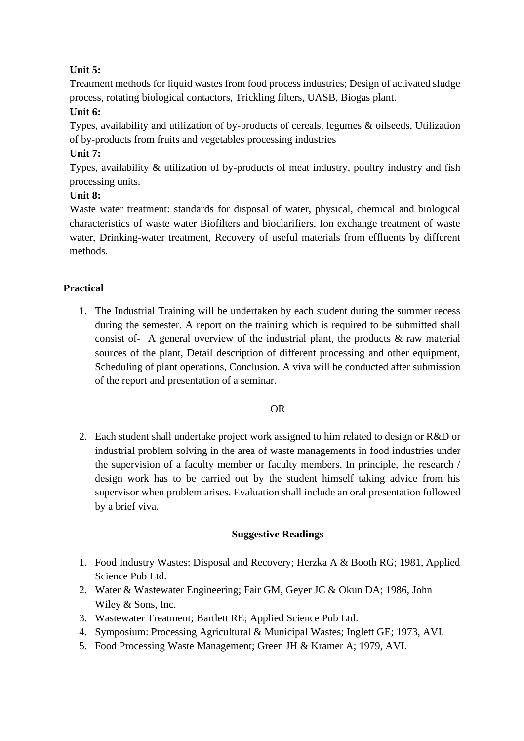# **Unit 5:**

Treatment methods for liquid wastes from food process industries; Design of activated sludge process, rotating biological contactors, Trickling filters, UASB, Biogas plant. **Unit 6:**

Types, availability and utilization of by-products of cereals, legumes & oilseeds, Utilization of by-products from fruits and vegetables processing industries

# **Unit 7:**

Types, availability & utilization of by-products of meat industry, poultry industry and fish processing units.

# **Unit 8:**

Waste water treatment: standards for disposal of water, physical, chemical and biological characteristics of waste water Biofilters and bioclarifiers, Ion exchange treatment of waste water, Drinking-water treatment, Recovery of useful materials from effluents by different methods.

# **Practical**

1. The Industrial Training will be undertaken by each student during the summer recess during the semester. A report on the training which is required to be submitted shall consist of- A general overview of the industrial plant, the products  $\&$  raw material sources of the plant, Detail description of different processing and other equipment, Scheduling of plant operations, Conclusion. A viva will be conducted after submission of the report and presentation of a seminar.

#### OR

2. Each student shall undertake project work assigned to him related to design or R&D or industrial problem solving in the area of waste managements in food industries under the supervision of a faculty member or faculty members. In principle, the research / design work has to be carried out by the student himself taking advice from his supervisor when problem arises. Evaluation shall include an oral presentation followed by a brief viva.

#### **Suggestive Readings**

- 1. Food Industry Wastes: Disposal and Recovery; Herzka A & Booth RG; 1981, Applied Science Pub Ltd.
- 2. Water & Wastewater Engineering; Fair GM, Geyer JC & Okun DA; 1986, John Wiley & Sons, Inc.
- 3. Wastewater Treatment; Bartlett RE; Applied Science Pub Ltd.
- 4. Symposium: Processing Agricultural & Municipal Wastes; Inglett GE; 1973, AVI.
- 5. Food Processing Waste Management; Green JH & Kramer A; 1979, AVI.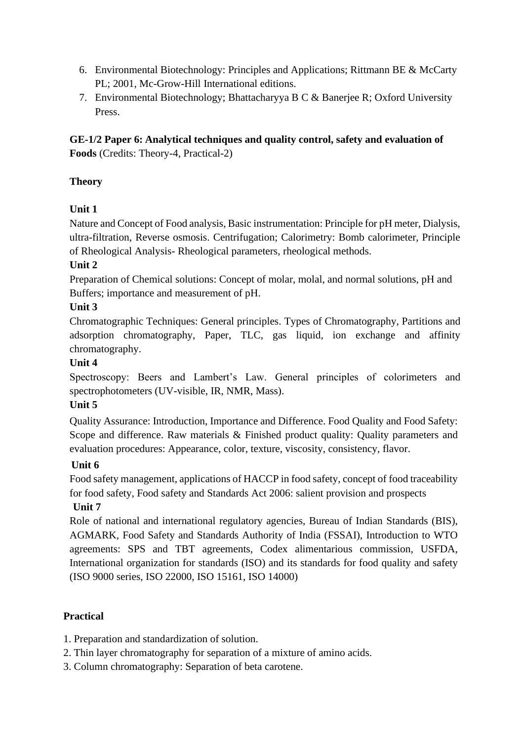- 6. Environmental Biotechnology: Principles and Applications; Rittmann BE & McCarty PL; 2001, Mc-Grow-Hill International editions.
- 7. Environmental Biotechnology; Bhattacharyya B C & Banerjee R; Oxford University Press.

**GE-1/2 Paper 6: Analytical techniques and quality control, safety and evaluation of Foods** (Credits: Theory-4, Practical-2)

# **Theory**

# **Unit 1**

Nature and Concept of Food analysis, Basic instrumentation: Principle for pH meter, Dialysis, ultra-filtration, Reverse osmosis. Centrifugation; Calorimetry: Bomb calorimeter, Principle of Rheological Analysis- Rheological parameters, rheological methods.

### **Unit 2**

Preparation of Chemical solutions: Concept of molar, molal, and normal solutions, pH and Buffers; importance and measurement of pH.

### **Unit 3**

Chromatographic Techniques: General principles. Types of Chromatography, Partitions and adsorption chromatography, Paper, TLC, gas liquid, ion exchange and affinity chromatography.

### **Unit 4**

Spectroscopy: Beers and Lambert's Law. General principles of colorimeters and spectrophotometers (UV-visible, IR, NMR, Mass).

#### **Unit 5**

Quality Assurance: Introduction, Importance and Difference. Food Quality and Food Safety: Scope and difference. Raw materials & Finished product quality: Quality parameters and evaluation procedures: Appearance, color, texture, viscosity, consistency, flavor.

# **Unit 6**

Food safety management, applications of HACCP in food safety, concept of food traceability for food safety, Food safety and Standards Act 2006: salient provision and prospects **Unit 7**

Role of national and international regulatory agencies, Bureau of Indian Standards (BIS), AGMARK, Food Safety and Standards Authority of India (FSSAI), Introduction to WTO agreements: SPS and TBT agreements, Codex alimentarious commission, USFDA, International organization for standards (ISO) and its standards for food quality and safety (ISO 9000 series, ISO 22000, ISO 15161, ISO 14000)

#### **Practical**

1. Preparation and standardization of solution.

- 2. Thin layer chromatography for separation of a mixture of amino acids.
- 3. Column chromatography: Separation of beta carotene.